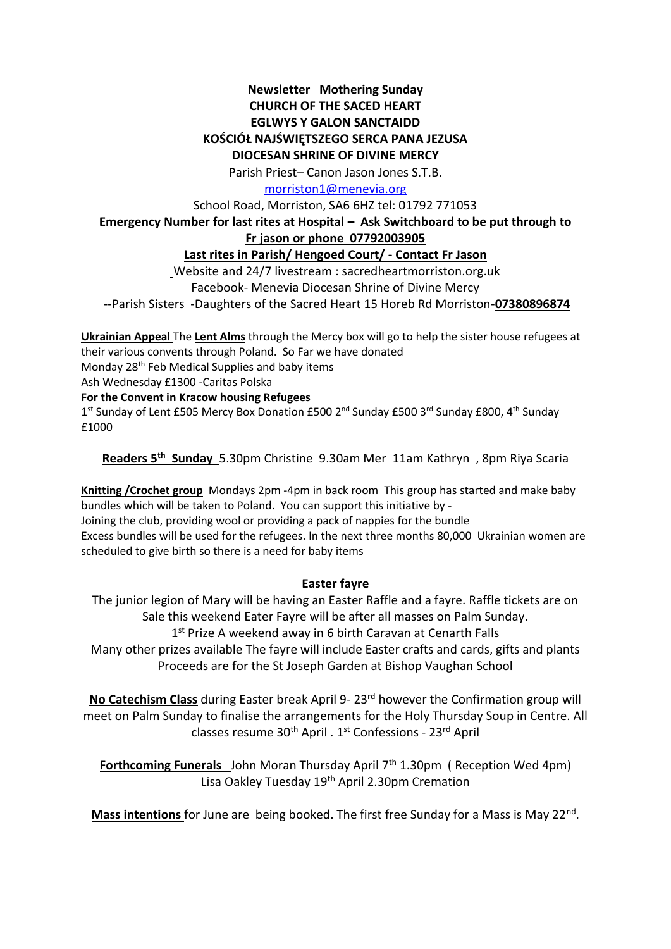## **Newsletter Mothering Sunday CHURCH OF THE SACED HEART EGLWYS Y GALON SANCTAIDD KOŚCIÓŁ NAJŚWIĘTSZEGO SERCA PANA JEZUSA DIOCESAN SHRINE OF DIVINE MERCY**

Parish Priest– Canon Jason Jones S.T.B.

[morriston1@menevia.org](mailto:morriston1@menevia.org)

School Road, Morriston, SA6 6HZ tel: 01792 771053

#### **Emergency Number for last rites at Hospital – Ask Switchboard to be put through to**

### **Fr jason or phone 07792003905**

# **Last rites in Parish/ Hengoed Court/ - Contact Fr Jason**

Website and 24/7 livestream : sacredheartmorriston.org.uk Facebook- Menevia Diocesan Shrine of Divine Mercy --Parish Sisters -Daughters of the Sacred Heart 15 Horeb Rd Morriston-**07380896874**

**Ukrainian Appeal** The **Lent Alms** through the Mercy box will go to help the sister house refugees at their various convents through Poland. So Far we have donated Monday 28th Feb Medical Supplies and baby items

Ash Wednesday £1300 -Caritas Polska

#### **For the Convent in Kracow housing Refugees**

1<sup>st</sup> Sunday of Lent £505 Mercy Box Donation £500 2<sup>nd</sup> Sunday £500 3<sup>rd</sup> Sunday £800, 4<sup>th</sup> Sunday £1000

**Readers 5 th Sunday** 5.30pm Christine 9.30am Mer 11am Kathryn , 8pm Riya Scaria

**Knitting /Crochet group** Mondays 2pm -4pm in back room This group has started and make baby bundles which will be taken to Poland. You can support this initiative by - Joining the club, providing wool or providing a pack of nappies for the bundle Excess bundles will be used for the refugees. In the next three months 80,000 Ukrainian women are scheduled to give birth so there is a need for baby items

## **Easter fayre**

The junior legion of Mary will be having an Easter Raffle and a fayre. Raffle tickets are on Sale this weekend Eater Fayre will be after all masses on Palm Sunday.

1<sup>st</sup> Prize A weekend away in 6 birth Caravan at Cenarth Falls

Many other prizes available The fayre will include Easter crafts and cards, gifts and plants Proceeds are for the St Joseph Garden at Bishop Vaughan School

**No Catechism Class** during Easter break April 9- 23rd however the Confirmation group will meet on Palm Sunday to finalise the arrangements for the Holy Thursday Soup in Centre. All classes resume  $30<sup>th</sup>$  April .  $1<sup>st</sup>$  Confessions -  $23<sup>rd</sup>$  April

**Forthcoming Funerals** John Moran Thursday April 7<sup>th</sup> 1.30pm (Reception Wed 4pm) Lisa Oakley Tuesday 19<sup>th</sup> April 2.30pm Cremation

Mass intentions for June are being booked. The first free Sunday for a Mass is May 22<sup>nd</sup>.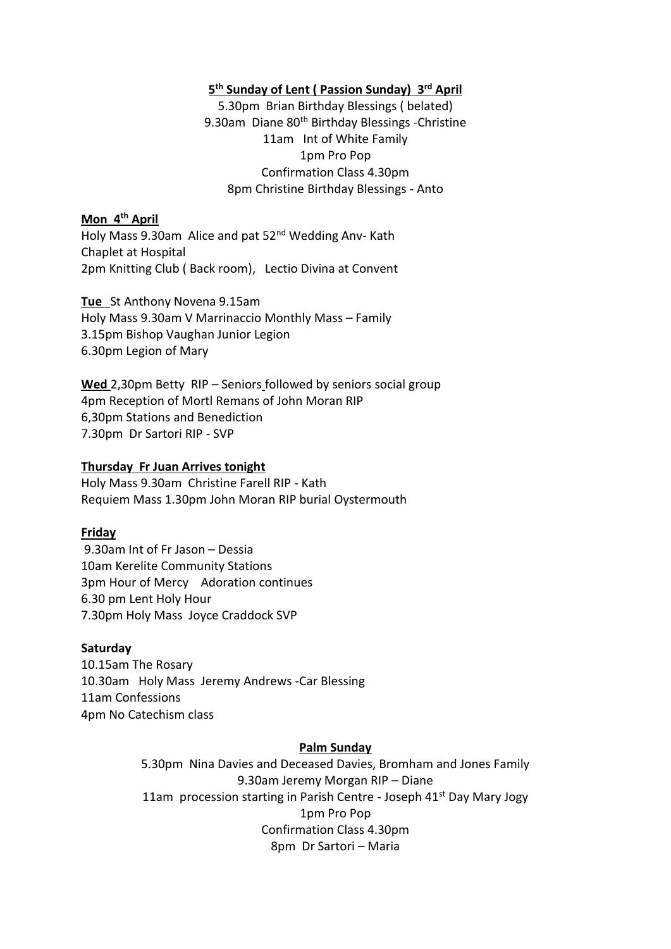### **5 th Sunday of Lent ( Passion Sunday) 3 rd April**

5.30pm Brian Birthday Blessings ( belated) 9.30am Diane 80<sup>th</sup> Birthday Blessings -Christine 11am Int of White Family 1pm Pro Pop Confirmation Class 4.30pm 8pm Christine Birthday Blessings - Anto

### **Mon 4 th April**

Holy Mass 9.30am Alice and pat 52<sup>nd</sup> Wedding Anv- Kath Chaplet at Hospital 2pm Knitting Club ( Back room), Lectio Divina at Convent

**Tue** St Anthony Novena 9.15am Holy Mass 9.30am V Marrinaccio Monthly Mass – Family 3.15pm Bishop Vaughan Junior Legion 6.30pm Legion of Mary

**Wed** 2,30pm Betty RIP – Seniors followed by seniors social group 4pm Reception of Mortl Remans of John Moran RIP 6,30pm Stations and Benediction 7.30pm Dr Sartori RIP - SVP

### **Thursday Fr Juan Arrives tonight**

Holy Mass 9.30am Christine Farell RIP - Kath Requiem Mass 1.30pm John Moran RIP burial Oystermouth

## **Friday**

9.30am Int of Fr Jason – Dessia 10am Kerelite Community Stations 3pm Hour of Mercy Adoration continues 6.30 pm Lent Holy Hour 7.30pm Holy Mass Joyce Craddock SVP

#### **Saturday**

10.15am The Rosary 10.30am Holy Mass Jeremy Andrews -Car Blessing 11am Confessions 4pm No Catechism class

#### **Palm Sunday**

5.30pm Nina Davies and Deceased Davies, Bromham and Jones Family 9.30am Jeremy Morgan RIP – Diane 11am procession starting in Parish Centre - Joseph 41<sup>st</sup> Day Mary Jogy 1pm Pro Pop Confirmation Class 4.30pm 8pm Dr Sartori – Maria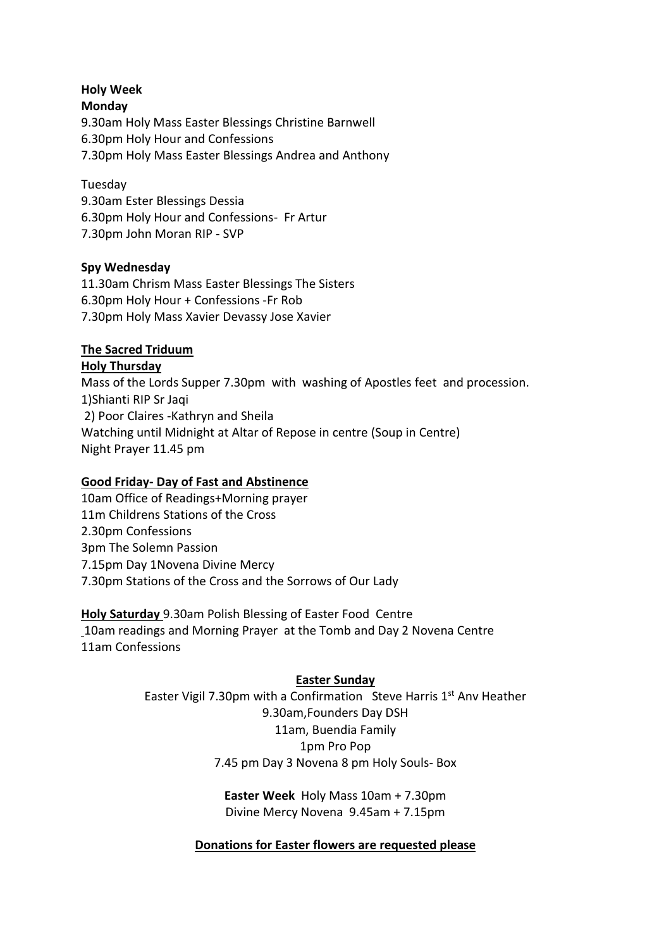## **Holy Week Monday**  9.30am Holy Mass Easter Blessings Christine Barnwell 6.30pm Holy Hour and Confessions 7.30pm Holy Mass Easter Blessings Andrea and Anthony

Tuesday

9.30am Ester Blessings Dessia 6.30pm Holy Hour and Confessions- Fr Artur 7.30pm John Moran RIP - SVP

## **Spy Wednesday**

11.30am Chrism Mass Easter Blessings The Sisters 6.30pm Holy Hour + Confessions -Fr Rob 7.30pm Holy Mass Xavier Devassy Jose Xavier

# **The Sacred Triduum**

**Holy Thursday**  Mass of the Lords Supper 7.30pm with washing of Apostles feet and procession. 1)Shianti RIP Sr Jaqi 2) Poor Claires -Kathryn and Sheila Watching until Midnight at Altar of Repose in centre (Soup in Centre) Night Prayer 11.45 pm

# **Good Friday- Day of Fast and Abstinence**

10am Office of Readings+Morning prayer 11m Childrens Stations of the Cross 2.30pm Confessions 3pm The Solemn Passion 7.15pm Day 1Novena Divine Mercy 7.30pm Stations of the Cross and the Sorrows of Our Lady

**Holy Saturday** 9.30am Polish Blessing of Easter Food Centre 10am readings and Morning Prayer at the Tomb and Day 2 Novena Centre 11am Confessions

# **Easter Sunday**

Easter Vigil 7.30pm with a Confirmation Steve Harris  $1<sup>st</sup>$  Anv Heather 9.30am,Founders Day DSH 11am, Buendia Family 1pm Pro Pop 7.45 pm Day 3 Novena 8 pm Holy Souls- Box

> **Easter Week** Holy Mass 10am + 7.30pm Divine Mercy Novena 9.45am + 7.15pm

## **Donations for Easter flowers are requested please**